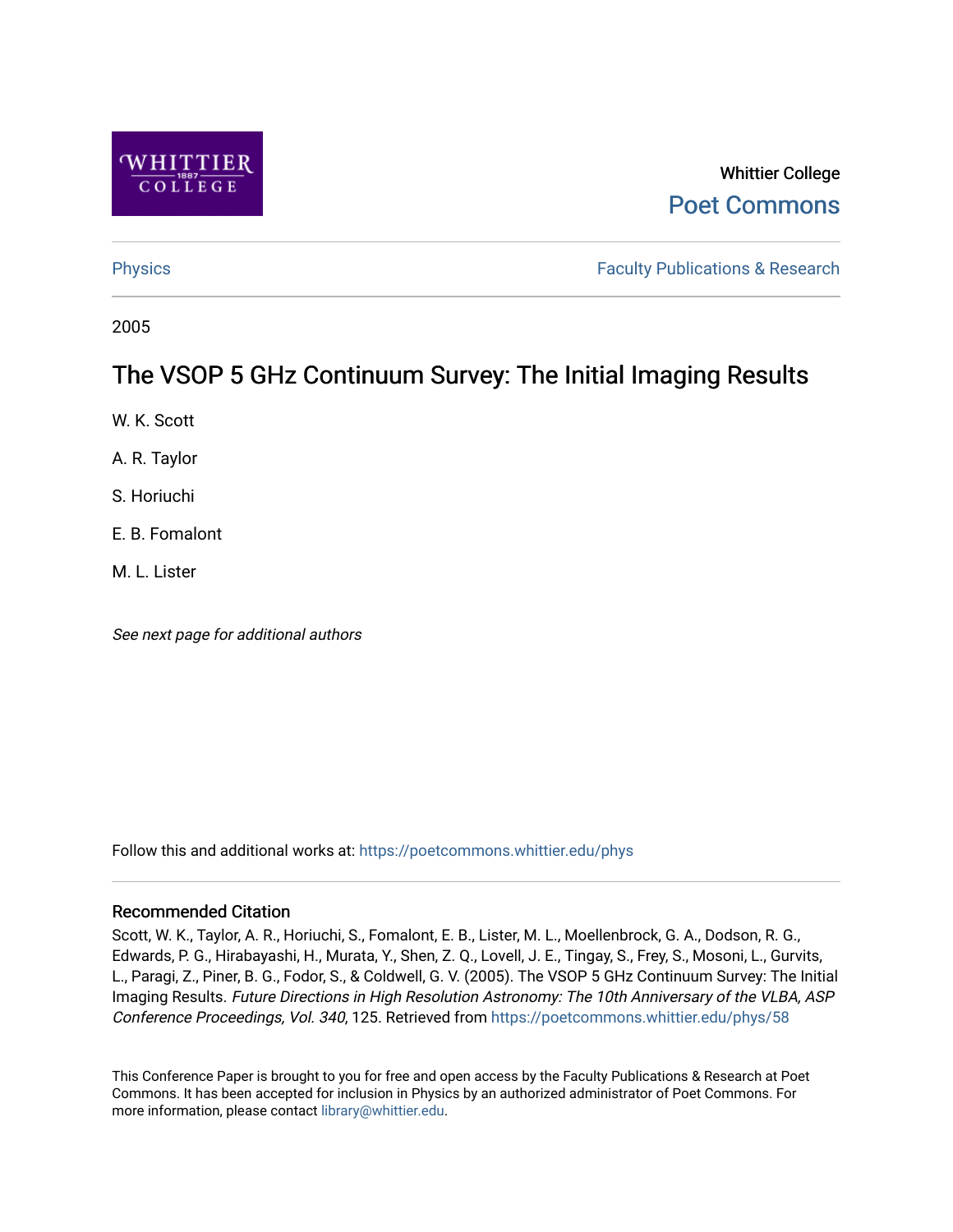

# Whittier College [Poet Commons](https://poetcommons.whittier.edu/)

[Physics](https://poetcommons.whittier.edu/phys) **Faculty Publications & Research Physics Faculty Publications & Research** 

2005

# The VSOP 5 GHz Continuum Survey: The Initial Imaging Results

W. K. Scott

A. R. Taylor

S. Horiuchi

E. B. Fomalont

M. L. Lister

See next page for additional authors

Follow this and additional works at: [https://poetcommons.whittier.edu/phys](https://poetcommons.whittier.edu/phys?utm_source=poetcommons.whittier.edu%2Fphys%2F58&utm_medium=PDF&utm_campaign=PDFCoverPages)

## Recommended Citation

Scott, W. K., Taylor, A. R., Horiuchi, S., Fomalont, E. B., Lister, M. L., Moellenbrock, G. A., Dodson, R. G., Edwards, P. G., Hirabayashi, H., Murata, Y., Shen, Z. Q., Lovell, J. E., Tingay, S., Frey, S., Mosoni, L., Gurvits, L., Paragi, Z., Piner, B. G., Fodor, S., & Coldwell, G. V. (2005). The VSOP 5 GHz Continuum Survey: The Initial Imaging Results. Future Directions in High Resolution Astronomy: The 10th Anniversary of the VLBA, ASP Conference Proceedings, Vol. 340, 125. Retrieved from [https://poetcommons.whittier.edu/phys/58](https://poetcommons.whittier.edu/phys/58?utm_source=poetcommons.whittier.edu%2Fphys%2F58&utm_medium=PDF&utm_campaign=PDFCoverPages)

This Conference Paper is brought to you for free and open access by the Faculty Publications & Research at Poet Commons. It has been accepted for inclusion in Physics by an authorized administrator of Poet Commons. For more information, please contact [library@whittier.edu.](mailto:library@whittier.edu)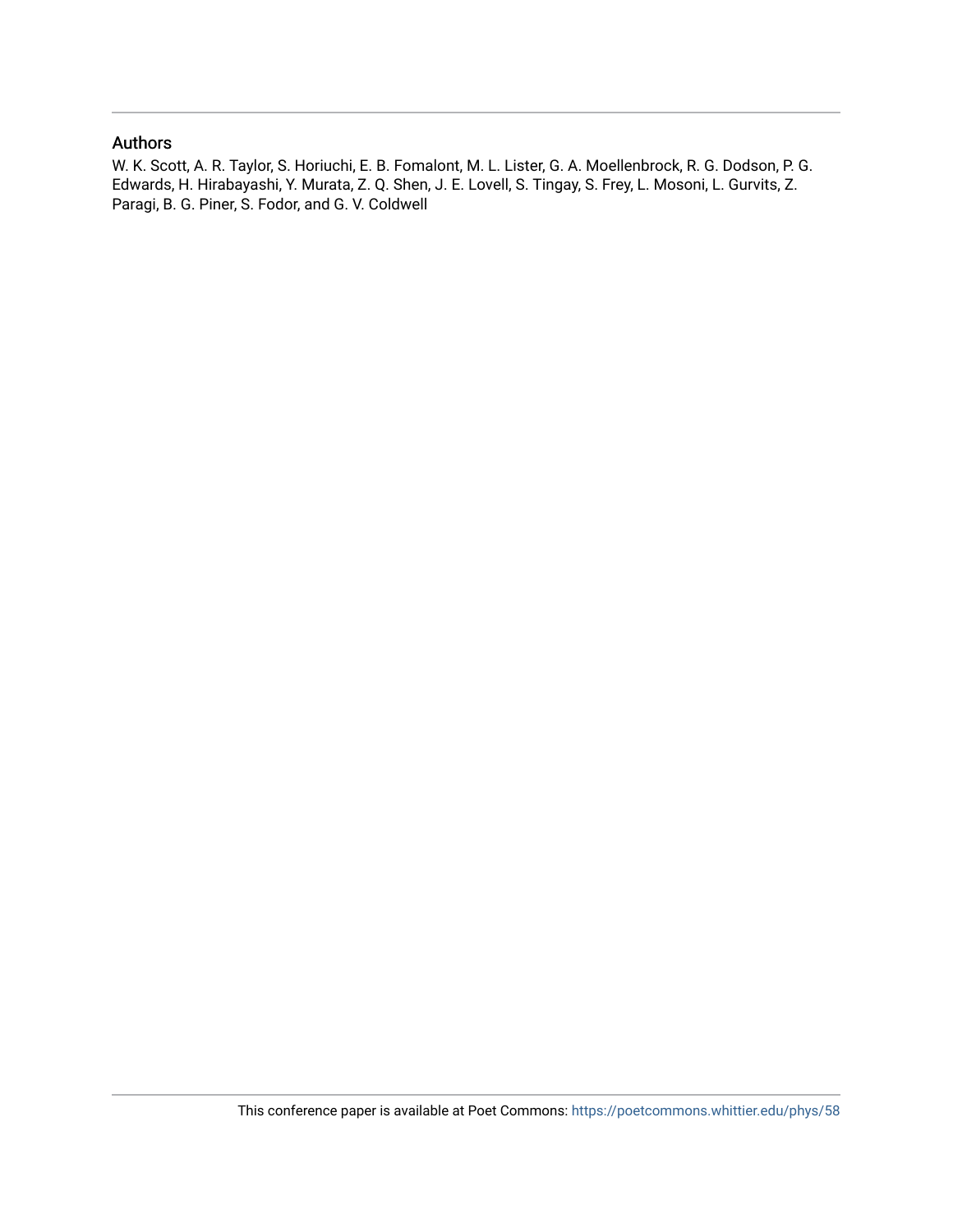# Authors

W. K. Scott, A. R. Taylor, S. Horiuchi, E. B. Fomalont, M. L. Lister, G. A. Moellenbrock, R. G. Dodson, P. G. Edwards, H. Hirabayashi, Y. Murata, Z. Q. Shen, J. E. Lovell, S. Tingay, S. Frey, L. Mosoni, L. Gurvits, Z. Paragi, B. G. Piner, S. Fodor, and G. V. Coldwell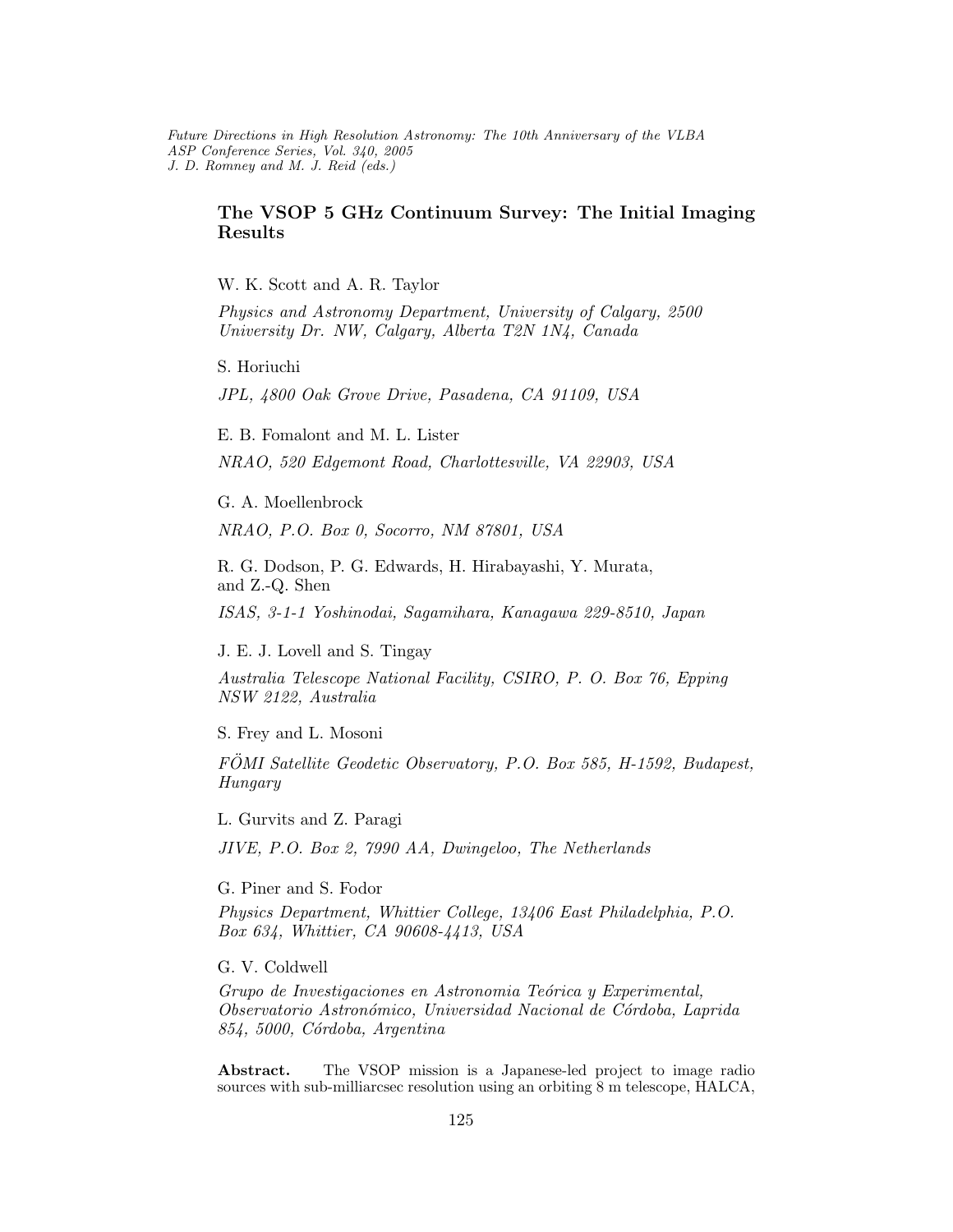## The VSOP 5 GHz Continuum Survey: The Initial Imaging Results

W. K. Scott and A. R. Taylor

Physics and Astronomy Department, University of Calgary, 2500 University Dr. NW, Calgary, Alberta T2N 1N4, Canada

S. Horiuchi

JPL, 4800 Oak Grove Drive, Pasadena, CA 91109, USA

E. B. Fomalont and M. L. Lister

NRAO, 520 Edgemont Road, Charlottesville, VA 22903, USA

G. A. Moellenbrock NRAO, P.O. Box 0, Socorro, NM 87801, USA

R. G. Dodson, P. G. Edwards, H. Hirabayashi, Y. Murata, and Z.-Q. Shen

ISAS, 3-1-1 Yoshinodai, Sagamihara, Kanagawa 229-8510, Japan

J. E. J. Lovell and S. Tingay

Australia Telescope National Facility, CSIRO, P. O. Box 76, Epping NSW 2122, Australia

S. Frey and L. Mosoni

FOMI Satellite Geodetic Observatory, P.O. Box 585, H-1592, Budapest, Hungary

L. Gurvits and Z. Paragi

JIVE, P.O. Box 2, 7990 AA, Dwingeloo, The Netherlands

G. Piner and S. Fodor

Physics Department, Whittier College, 13406 East Philadelphia, P.O. Box 634, Whittier, CA 90608-4413, USA

G. V. Coldwell

Grupo de Investigaciones en Astronomia Teórica y Experimental, Observatorio Astronómico, Universidad Nacional de Córdoba, Laprida 854, 5000, Córdoba, Argentina

Abstract. The VSOP mission is a Japanese-led project to image radio sources with sub-milliarcsec resolution using an orbiting 8 m telescope, HALCA,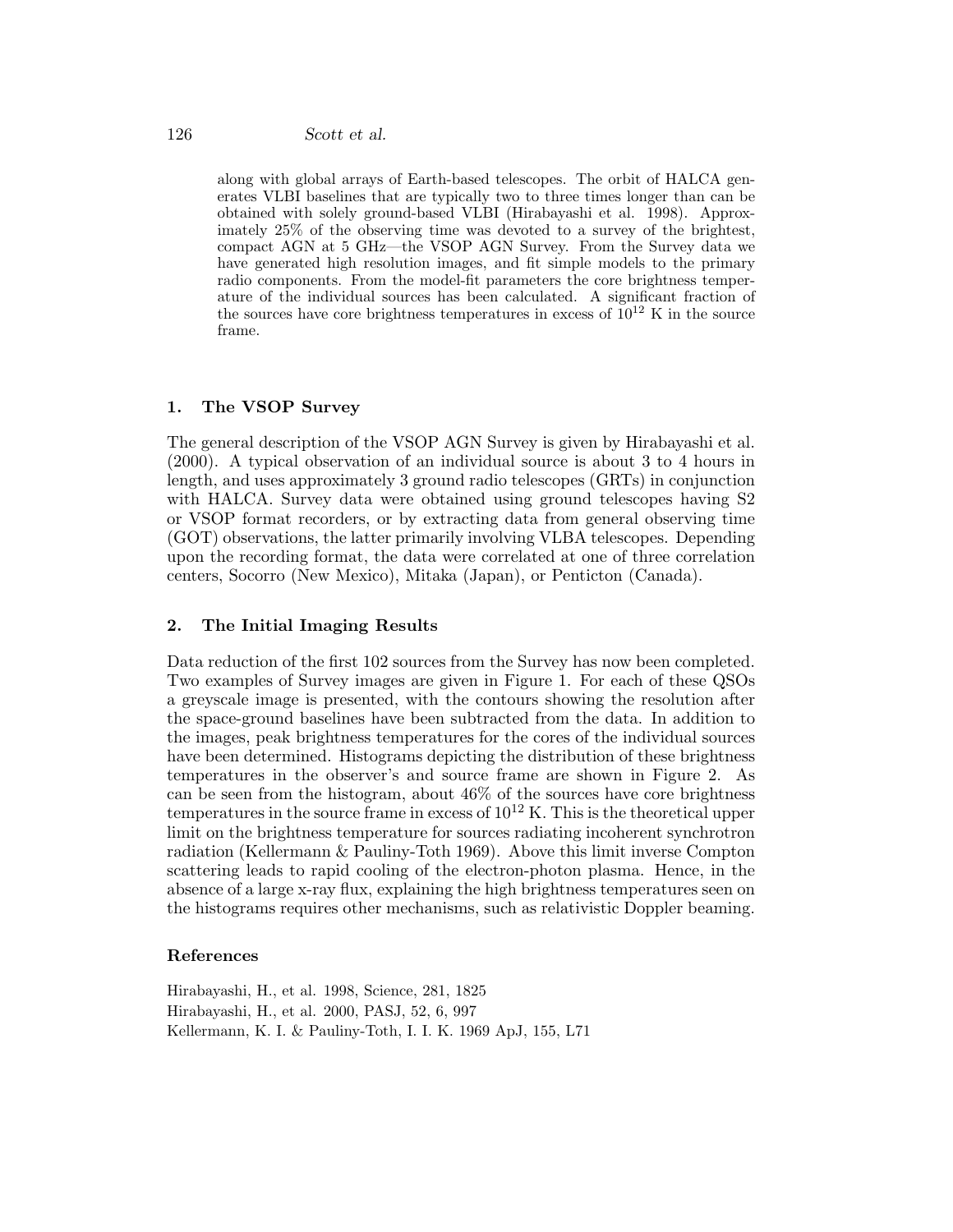along with global arrays of Earth-based telescopes. The orbit of HALCA generates VLBI baselines that are typically two to three times longer than can be obtained with solely ground-based VLBI (Hirabayashi et al. 1998). Approximately 25% of the observing time was devoted to a survey of the brightest, compact AGN at 5 GHz—the VSOP AGN Survey. From the Survey data we have generated high resolution images, and fit simple models to the primary radio components. From the model-fit parameters the core brightness temperature of the individual sources has been calculated. A significant fraction of the sources have core brightness temperatures in excess of  $10^{12}$  K in the source frame.

#### 1. The VSOP Survey

The general description of the VSOP AGN Survey is given by Hirabayashi et al. (2000). A typical observation of an individual source is about 3 to 4 hours in length, and uses approximately 3 ground radio telescopes (GRTs) in conjunction with HALCA. Survey data were obtained using ground telescopes having S2 or VSOP format recorders, or by extracting data from general observing time (GOT) observations, the latter primarily involving VLBA telescopes. Depending upon the recording format, the data were correlated at one of three correlation centers, Socorro (New Mexico), Mitaka (Japan), or Penticton (Canada).

### 2. The Initial Imaging Results

Data reduction of the first 102 sources from the Survey has now been completed. Two examples of Survey images are given in Figure 1. For each of these QSOs a greyscale image is presented, with the contours showing the resolution after the space-ground baselines have been subtracted from the data. In addition to the images, peak brightness temperatures for the cores of the individual sources have been determined. Histograms depicting the distribution of these brightness temperatures in the observer's and source frame are shown in Figure 2. As can be seen from the histogram, about 46% of the sources have core brightness temperatures in the source frame in excess of  $10^{12}$  K. This is the theoretical upper limit on the brightness temperature for sources radiating incoherent synchrotron radiation (Kellermann & Pauliny-Toth 1969). Above this limit inverse Compton scattering leads to rapid cooling of the electron-photon plasma. Hence, in the absence of a large x-ray flux, explaining the high brightness temperatures seen on the histograms requires other mechanisms, such as relativistic Doppler beaming.

#### References

Hirabayashi, H., et al. 1998, Science, 281, 1825 Hirabayashi, H., et al. 2000, PASJ, 52, 6, 997 Kellermann, K. I. & Pauliny-Toth, I. I. K. 1969 ApJ, 155, L71